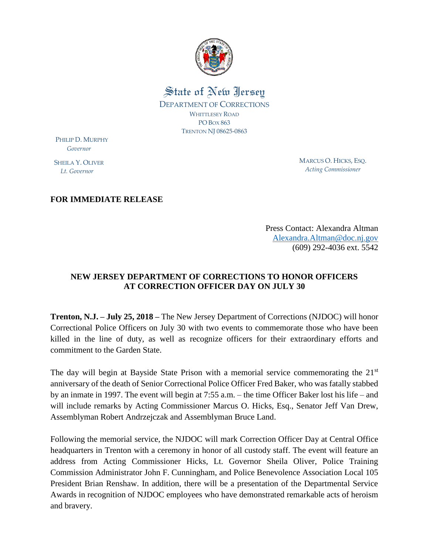

## State of New Jersey

DEPARTMENT OF CORRECTIONS WHITTLESEY ROAD PO BOX 863 TRENTON NJ 08625-0863

PHILIP D. MURPHY  *Governor*

SHEILA Y. OLIVER  *Lt. Governor*

MARCUS O. HICKS, ESQ. *Acting Commissioner*

## **FOR IMMEDIATE RELEASE**

Press Contact: Alexandra Altman [Alexandra.Altman@doc.nj.gov](mailto:Alexandra.Altman@doc.nj.gov) (609) 292-4036 ext. 5542

## **NEW JERSEY DEPARTMENT OF CORRECTIONS TO HONOR OFFICERS AT CORRECTION OFFICER DAY ON JULY 30**

**Trenton, N.J. – July 25, 2018 –** The New Jersey Department of Corrections (NJDOC) will honor Correctional Police Officers on July 30 with two events to commemorate those who have been killed in the line of duty, as well as recognize officers for their extraordinary efforts and commitment to the Garden State.

The day will begin at Bayside State Prison with a memorial service commemorating the 21<sup>st</sup> anniversary of the death of Senior Correctional Police Officer Fred Baker, who was fatally stabbed by an inmate in 1997. The event will begin at 7:55 a.m. – the time Officer Baker lost his life – and will include remarks by Acting Commissioner Marcus O. Hicks, Esq., Senator Jeff Van Drew, Assemblyman Robert Andrzejczak and Assemblyman Bruce Land.

Following the memorial service, the NJDOC will mark Correction Officer Day at Central Office headquarters in Trenton with a ceremony in honor of all custody staff. The event will feature an address from Acting Commissioner Hicks, Lt. Governor Sheila Oliver, Police Training Commission Administrator John F. Cunningham, and Police Benevolence Association Local 105 President Brian Renshaw. In addition, there will be a presentation of the Departmental Service Awards in recognition of NJDOC employees who have demonstrated remarkable acts of heroism and bravery.